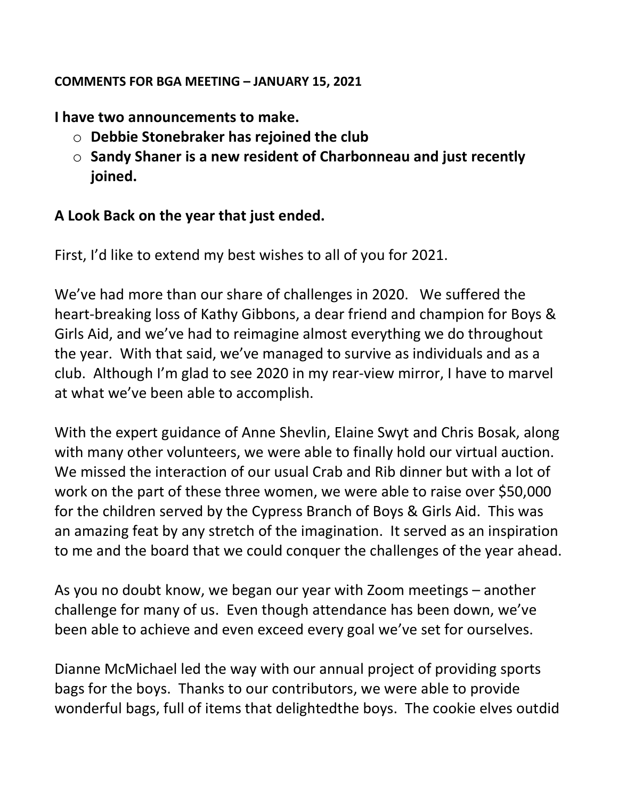## COMMENTS FOR BGA MEETING – JANUARY 15, 2021

I have two announcements to make.

- $\circ$  Debbie Stonebraker has rejoined the club
- $\circ$  Sandy Shaner is a new resident of Charbonneau and just recently joined.

## A Look Back on the year that just ended.

First, I'd like to extend my best wishes to all of you for 2021.

We've had more than our share of challenges in 2020. We suffered the heart-breaking loss of Kathy Gibbons, a dear friend and champion for Boys & Girls Aid, and we've had to reimagine almost everything we do throughout the year. With that said, we've managed to survive as individuals and as a club. Although I'm glad to see 2020 in my rear-view mirror, I have to marvel at what we've been able to accomplish.

With the expert guidance of Anne Shevlin, Elaine Swyt and Chris Bosak, along with many other volunteers, we were able to finally hold our virtual auction. We missed the interaction of our usual Crab and Rib dinner but with a lot of work on the part of these three women, we were able to raise over \$50,000 for the children served by the Cypress Branch of Boys & Girls Aid. This was an amazing feat by any stretch of the imagination. It served as an inspiration to me and the board that we could conquer the challenges of the year ahead.

As you no doubt know, we began our year with Zoom meetings – another challenge for many of us. Even though attendance has been down, we've been able to achieve and even exceed every goal we've set for ourselves.

Dianne McMichael led the way with our annual project of providing sports bags for the boys. Thanks to our contributors, we were able to provide wonderful bags, full of items that delightedthe boys. The cookie elves outdid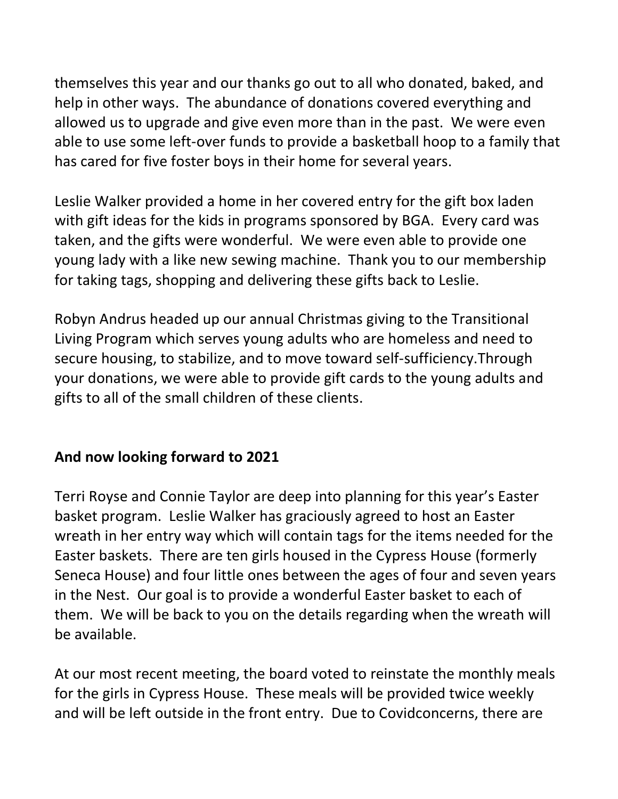themselves this year and our thanks go out to all who donated, baked, and help in other ways. The abundance of donations covered everything and allowed us to upgrade and give even more than in the past. We were even able to use some left-over funds to provide a basketball hoop to a family that has cared for five foster boys in their home for several years.

Leslie Walker provided a home in her covered entry for the gift box laden with gift ideas for the kids in programs sponsored by BGA. Every card was taken, and the gifts were wonderful. We were even able to provide one young lady with a like new sewing machine. Thank you to our membership for taking tags, shopping and delivering these gifts back to Leslie.

Robyn Andrus headed up our annual Christmas giving to the Transitional Living Program which serves young adults who are homeless and need to secure housing, to stabilize, and to move toward self-sufficiency.Through your donations, we were able to provide gift cards to the young adults and gifts to all of the small children of these clients.

## And now looking forward to 2021

Terri Royse and Connie Taylor are deep into planning for this year's Easter basket program. Leslie Walker has graciously agreed to host an Easter wreath in her entry way which will contain tags for the items needed for the Easter baskets. There are ten girls housed in the Cypress House (formerly Seneca House) and four little ones between the ages of four and seven years in the Nest. Our goal is to provide a wonderful Easter basket to each of them. We will be back to you on the details regarding when the wreath will be available.

At our most recent meeting, the board voted to reinstate the monthly meals for the girls in Cypress House. These meals will be provided twice weekly and will be left outside in the front entry. Due to Covidconcerns, there are